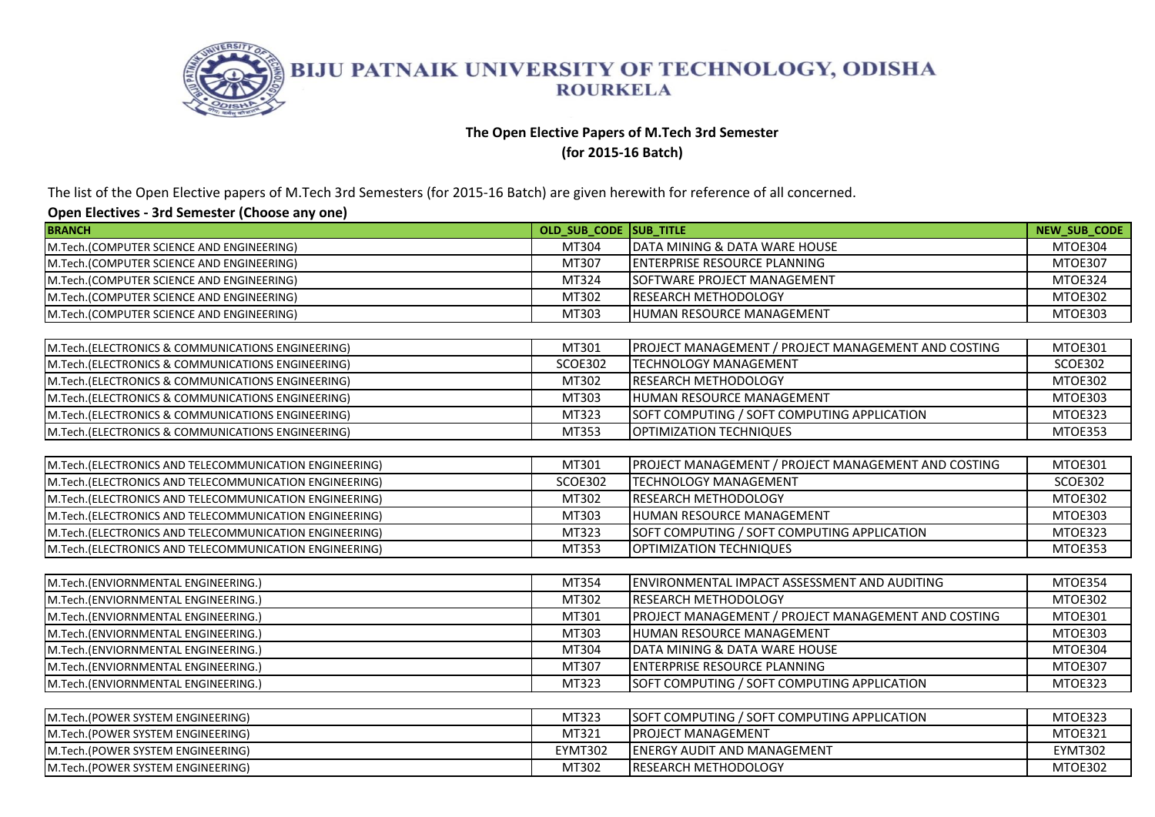

## **The Open Elective Papers of M.Tech 3rd Semester**

**(for 2015-16 Batch)** 

The list of the Open Elective papers of M.Tech 3rd Semesters (for 2015-16 Batch) are given herewith for reference of all concerned.

| <b>BRANCH</b>                                           | OLD SUB CODE SUB TITLE |                                                            | <b>NEW SUB CODE</b> |
|---------------------------------------------------------|------------------------|------------------------------------------------------------|---------------------|
| M.Tech.(COMPUTER SCIENCE AND ENGINEERING)               | MT304                  | DATA MINING & DATA WARE HOUSE                              | MTOE304             |
| M.Tech.(COMPUTER SCIENCE AND ENGINEERING)               | MT307                  | <b>IENTERPRISE RESOURCE PLANNING</b>                       | MTOE307             |
| M.Tech.(COMPUTER SCIENCE AND ENGINEERING)               | MT324                  | SOFTWARE PROJECT MANAGEMENT                                | MTOE324             |
| M.Tech.(COMPUTER SCIENCE AND ENGINEERING)               | MT302                  | <b>RESEARCH METHODOLOGY</b>                                | MTOE302             |
| M.Tech.(COMPUTER SCIENCE AND ENGINEERING)               | MT303                  | <b>HUMAN RESOURCE MANAGEMENT</b>                           | MTOE303             |
|                                                         |                        |                                                            |                     |
| M.Tech.(ELECTRONICS & COMMUNICATIONS ENGINEERING)       | MT301                  | <b>PROJECT MANAGEMENT / PROJECT MANAGEMENT AND COSTING</b> | MTOE301             |
| M.Tech.(ELECTRONICS & COMMUNICATIONS ENGINEERING)       | <b>SCOE302</b>         | <b>TECHNOLOGY MANAGEMENT</b>                               | <b>SCOE302</b>      |
| M.Tech.(ELECTRONICS & COMMUNICATIONS ENGINEERING)       | MT302                  | <b>IRESEARCH METHODOLOGY</b>                               | MTOE302             |
| M.Tech.(ELECTRONICS & COMMUNICATIONS ENGINEERING)       | MT303                  | HUMAN RESOURCE MANAGEMENT                                  | MTOE303             |
| M.Tech.(ELECTRONICS & COMMUNICATIONS ENGINEERING)       | MT323                  | SOFT COMPUTING / SOFT COMPUTING APPLICATION                | MTOE323             |
| M.Tech.(ELECTRONICS & COMMUNICATIONS ENGINEERING)       | MT353                  | <b>OPTIMIZATION TECHNIQUES</b>                             | MTOE353             |
|                                                         |                        |                                                            |                     |
| M.Tech.(ELECTRONICS AND TELECOMMUNICATION ENGINEERING)  | MT301                  | PROJECT MANAGEMENT / PROJECT MANAGEMENT AND COSTING        | <b>MTOE301</b>      |
| M.Tech.(ELECTRONICS AND TELECOMMUNICATION ENGINEERING)  | <b>SCOE302</b>         | <b>TECHNOLOGY MANAGEMENT</b>                               | <b>SCOE302</b>      |
| M.Tech.(ELECTRONICS AND TELECOMMUNICATION ENGINEERING)  | MT302                  | RESEARCH METHODOLOGY                                       | MTOE302             |
| M.Tech.(ELECTRONICS AND TELECOMMUNICATION ENGINEERING)  | MT303                  | <b>HUMAN RESOURCE MANAGEMENT</b>                           | MTOE303             |
| M.Tech. (ELECTRONICS AND TELECOMMUNICATION ENGINEERING) | MT323                  | SOFT COMPUTING / SOFT COMPUTING APPLICATION                | MTOE323             |
| M.Tech.(ELECTRONICS AND TELECOMMUNICATION ENGINEERING)  | MT353                  | <b>OPTIMIZATION TECHNIQUES</b>                             | MTOE353             |
|                                                         |                        |                                                            |                     |
| M.Tech.(ENVIORNMENTAL ENGINEERING.)                     | MT354                  | ENVIRONMENTAL IMPACT ASSESSMENT AND AUDITING               | MTOE354             |
| M.Tech.(ENVIORNMENTAL ENGINEERING.)                     | MT302                  | <b>RESEARCH METHODOLOGY</b>                                | MTOE302             |
| M.Tech.(ENVIORNMENTAL ENGINEERING.)                     | MT301                  | PROJECT MANAGEMENT / PROJECT MANAGEMENT AND COSTING        | MTOE301             |
| M.Tech.(ENVIORNMENTAL ENGINEERING.)                     | MT303                  | <b>HUMAN RESOURCE MANAGEMENT</b>                           | MTOE303             |
| M.Tech.(ENVIORNMENTAL ENGINEERING.)                     | MT304                  | DATA MINING & DATA WARE HOUSE                              | MTOE304             |
| M.Tech.(ENVIORNMENTAL ENGINEERING.)                     | MT307                  | <b>ENTERPRISE RESOURCE PLANNING</b>                        | MTOE307             |
| M.Tech.(ENVIORNMENTAL ENGINEERING.)                     | MT323                  | SOFT COMPUTING / SOFT COMPUTING APPLICATION                | MTOE323             |
|                                                         |                        |                                                            |                     |
| M.Tech.(POWER SYSTEM ENGINEERING)                       | MT323                  | SOFT COMPUTING / SOFT COMPUTING APPLICATION                | MTOE323             |
| M.Tech.(POWER SYSTEM ENGINEERING)                       | MT321                  | PROJECT MANAGEMENT                                         | MTOE321             |
| M.Tech.(POWER SYSTEM ENGINEERING)                       | <b>EYMT302</b>         | <b>ENERGY AUDIT AND MANAGEMENT</b>                         | <b>EYMT302</b>      |
| M.Tech.(POWER SYSTEM ENGINEERING)                       | MT302                  | <b>IRESEARCH METHODOLOGY</b>                               | MTOE302             |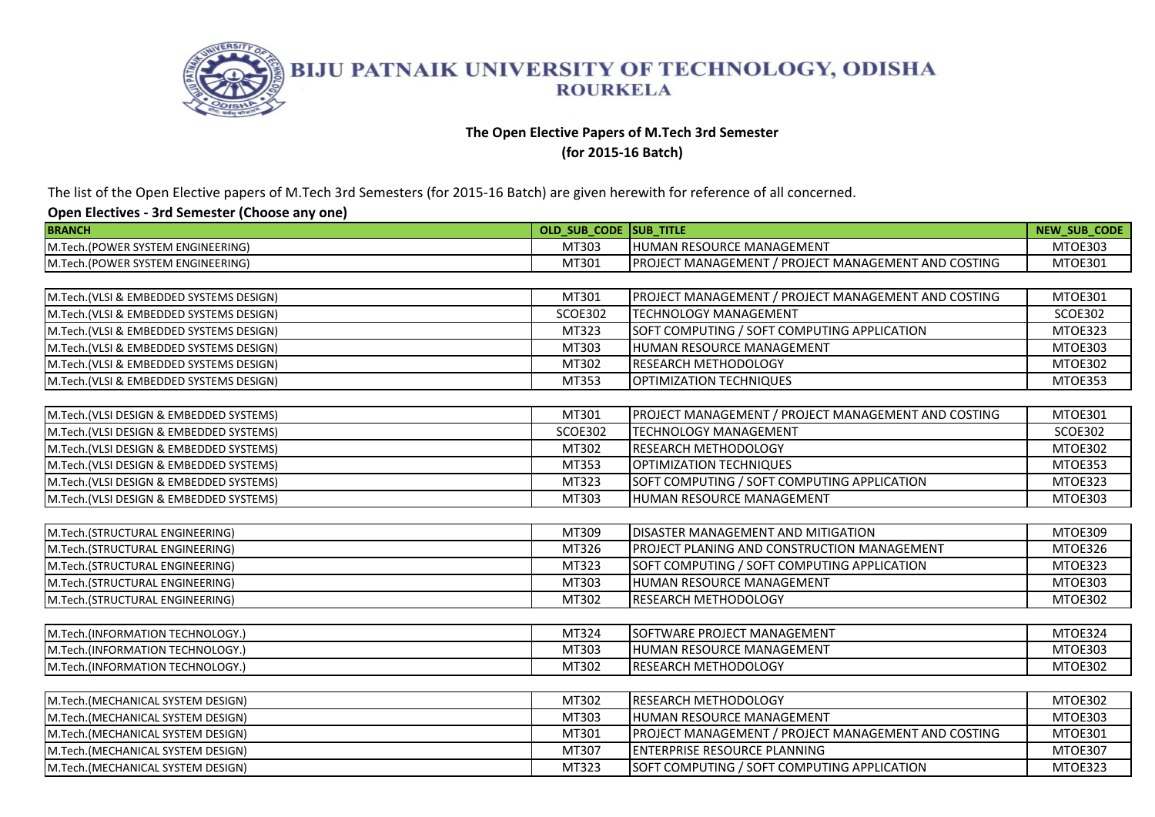

### **The Open Elective Papers of M.Tech 3rd Semester**

**(for 2015-16 Batch)** 

The list of the Open Elective papers of M.Tech 3rd Semesters (for 2015-16 Batch) are given herewith for reference of all concerned.

| <b>BRANCH</b>                           | OLD SUB CODE SUB TITLE |                                                     | <b>NEW SUB CODE</b> |
|-----------------------------------------|------------------------|-----------------------------------------------------|---------------------|
| M.Tech.(POWER SYSTEM ENGINEERING)       | MT303                  | HUMAN RESOURCE MANAGEMENT                           | MTOE303             |
| M.Tech.(POWER SYSTEM ENGINEERING)       | MT301                  | PROJECT MANAGEMENT / PROJECT MANAGEMENT AND COSTING | MTOE301             |
|                                         |                        |                                                     |                     |
| M.Tech.(VLSI & EMBEDDED SYSTEMS DESIGN) | MT301                  | PROJECT MANAGEMENT / PROJECT MANAGEMENT AND COSTING | <b>MTOE301</b>      |
| M.Tech.(VLSI & EMBEDDED SYSTEMS DESIGN) | <b>SCOE302</b>         | <b>TECHNOLOGY MANAGEMENT</b>                        | <b>SCOE302</b>      |
| M.Tech.(VLSI & EMBEDDED SYSTEMS DESIGN) | MT323                  | SOFT COMPUTING / SOFT COMPUTING APPLICATION         | MTOE323             |
| M.Tech.(VLSI & EMBEDDED SYSTEMS DESIGN) | MT303                  | HUMAN RESOURCE MANAGEMENT                           | MTOE303             |
| M.Tech.(VLSI & EMBEDDED SYSTEMS DESIGN) | MT302                  | <b>RESEARCH METHODOLOGY</b>                         | MTOE302             |
| M.Tech.(VLSI & EMBEDDED SYSTEMS DESIGN) | MT353                  | OPTIMIZATION TECHNIQUES                             | MTOE353             |
|                                         |                        |                                                     |                     |
| M.Tech.(VLSI DESIGN & EMBEDDED SYSTEMS) | MT301                  | PROJECT MANAGEMENT / PROJECT MANAGEMENT AND COSTING | MTOE301             |
| M.Tech.(VLSI DESIGN & EMBEDDED SYSTEMS) | <b>SCOE302</b>         | <b>TECHNOLOGY MANAGEMENT</b>                        | SCOE302             |
| M.Tech.(VLSI DESIGN & EMBEDDED SYSTEMS) | MT302                  | <b>RESEARCH METHODOLOGY</b>                         | MTOE302             |
| M.Tech.(VLSI DESIGN & EMBEDDED SYSTEMS) | MT353                  | OPTIMIZATION TECHNIQUES                             | MTOE353             |
| M.Tech.(VLSI DESIGN & EMBEDDED SYSTEMS) | MT323                  | SOFT COMPUTING / SOFT COMPUTING APPLICATION         | MTOE323             |
| M.Tech.(VLSI DESIGN & EMBEDDED SYSTEMS) | MT303                  | HUMAN RESOURCE MANAGEMENT                           | MTOE303             |
|                                         |                        |                                                     |                     |
| M.Tech.(STRUCTURAL ENGINEERING)         | MT309                  | <b>DISASTER MANAGEMENT AND MITIGATION</b>           | MTOE309             |
| M.Tech.(STRUCTURAL ENGINEERING)         | MT326                  | <b>PROJECT PLANING AND CONSTRUCTION MANAGEMENT</b>  | MTOE326             |
| M.Tech.(STRUCTURAL ENGINEERING)         | MT323                  | SOFT COMPUTING / SOFT COMPUTING APPLICATION         | MTOE323             |
| M.Tech.(STRUCTURAL ENGINEERING)         | MT303                  | <b>IHUMAN RESOURCE MANAGEMENT</b>                   | MTOE303             |
| M.Tech.(STRUCTURAL ENGINEERING)         | MT302                  | RESEARCH METHODOLOGY                                | MTOE302             |
|                                         |                        |                                                     |                     |
| M.Tech.(INFORMATION TECHNOLOGY.)        | MT324                  | SOFTWARE PROJECT MANAGEMENT                         | MTOE324             |
| M.Tech.(INFORMATION TECHNOLOGY.)        | MT303                  | HUMAN RESOURCE MANAGEMENT                           | MTOE303             |
| M.Tech.(INFORMATION TECHNOLOGY.)        | MT302                  | RESEARCH METHODOLOGY                                | MTOE302             |
|                                         |                        |                                                     |                     |
| M.Tech.(MECHANICAL SYSTEM DESIGN)       | MT302                  | <b>RESEARCH METHODOLOGY</b>                         | MTOE302             |
| M.Tech.(MECHANICAL SYSTEM DESIGN)       | MT303                  | HUMAN RESOURCE MANAGEMENT                           | MTOE303             |
| M.Tech.(MECHANICAL SYSTEM DESIGN)       | MT301                  | PROJECT MANAGEMENT / PROJECT MANAGEMENT AND COSTING | MTOE301             |
| M.Tech.(MECHANICAL SYSTEM DESIGN)       | MT307                  | <b>ENTERPRISE RESOURCE PLANNING</b>                 | MTOE307             |
| M.Tech.(MECHANICAL SYSTEM DESIGN)       | MT323                  | SOFT COMPUTING / SOFT COMPUTING APPLICATION         | MTOE323             |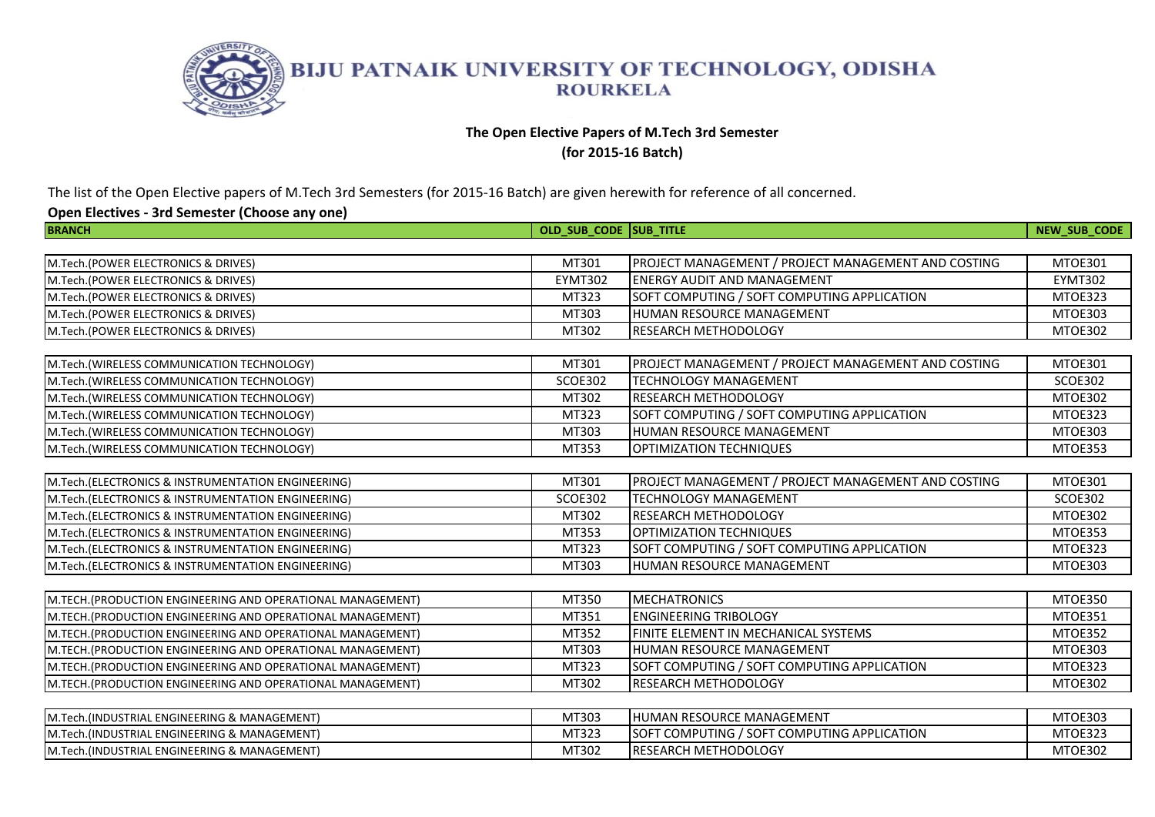

## **The Open Elective Papers of M.Tech 3rd Semester**

**(for 2015-16 Batch)** 

The list of the Open Elective papers of M.Tech 3rd Semesters (for 2015-16 Batch) are given herewith for reference of all concerned.

| <b>BRANCH</b>                                              | OLD SUB CODE SUB TITLE |                                                     | NEW_SUB_CODE   |
|------------------------------------------------------------|------------------------|-----------------------------------------------------|----------------|
|                                                            |                        |                                                     |                |
| M.Tech.(POWER ELECTRONICS & DRIVES)                        | MT301                  | PROJECT MANAGEMENT / PROJECT MANAGEMENT AND COSTING | MTOE301        |
| M.Tech.(POWER ELECTRONICS & DRIVES)                        | EYMT302                | <b>ENERGY AUDIT AND MANAGEMENT</b>                  | <b>EYMT302</b> |
| M.Tech.(POWER ELECTRONICS & DRIVES)                        | MT323                  | SOFT COMPUTING / SOFT COMPUTING APPLICATION         | MTOE323        |
| M.Tech.(POWER ELECTRONICS & DRIVES)                        | MT303                  | HUMAN RESOURCE MANAGEMENT                           | MTOE303        |
| M.Tech.(POWER ELECTRONICS & DRIVES)                        | MT302                  | RESEARCH METHODOLOGY                                | MTOE302        |
|                                                            |                        |                                                     |                |
| M.Tech.(WIRELESS COMMUNICATION TECHNOLOGY)                 | MT301                  | PROJECT MANAGEMENT / PROJECT MANAGEMENT AND COSTING | <b>MTOE301</b> |
| M.Tech.(WIRELESS COMMUNICATION TECHNOLOGY)                 | <b>SCOE302</b>         | <b>TECHNOLOGY MANAGEMENT</b>                        | <b>SCOE302</b> |
| M.Tech.(WIRELESS COMMUNICATION TECHNOLOGY)                 | MT302                  | RESEARCH METHODOLOGY                                | MTOE302        |
| M.Tech.(WIRELESS COMMUNICATION TECHNOLOGY)                 | MT323                  | SOFT COMPUTING / SOFT COMPUTING APPLICATION         | MTOE323        |
| M.Tech.(WIRELESS COMMUNICATION TECHNOLOGY)                 | MT303                  | HUMAN RESOURCE MANAGEMENT                           | MTOE303        |
| M.Tech.(WIRELESS COMMUNICATION TECHNOLOGY)                 | MT353                  | OPTIMIZATION TECHNIQUES                             | MTOE353        |
|                                                            |                        |                                                     |                |
| M.Tech.(ELECTRONICS & INSTRUMENTATION ENGINEERING)         | MT301                  | PROJECT MANAGEMENT / PROJECT MANAGEMENT AND COSTING | MTOE301        |
| M.Tech.(ELECTRONICS & INSTRUMENTATION ENGINEERING)         | <b>SCOE302</b>         | <b>TECHNOLOGY MANAGEMENT</b>                        | <b>SCOE302</b> |
| M.Tech.(ELECTRONICS & INSTRUMENTATION ENGINEERING)         | MT302                  | <b>RESEARCH METHODOLOGY</b>                         | MTOE302        |
| M.Tech.(ELECTRONICS & INSTRUMENTATION ENGINEERING)         | MT353                  | OPTIMIZATION TECHNIQUES                             | MTOE353        |
| M.Tech.(ELECTRONICS & INSTRUMENTATION ENGINEERING)         | MT323                  | SOFT COMPUTING / SOFT COMPUTING APPLICATION         | MTOE323        |
| M.Tech. (ELECTRONICS & INSTRUMENTATION ENGINEERING)        | MT303                  | HUMAN RESOURCE MANAGEMENT                           | MTOE303        |
|                                                            |                        |                                                     |                |
| M.TECH.(PRODUCTION ENGINEERING AND OPERATIONAL MANAGEMENT) | MT350                  | <b>MECHATRONICS</b>                                 | MTOE350        |
| M.TECH.(PRODUCTION ENGINEERING AND OPERATIONAL MANAGEMENT) | MT351                  | <b>ENGINEERING TRIBOLOGY</b>                        | MTOE351        |
| M.TECH.(PRODUCTION ENGINEERING AND OPERATIONAL MANAGEMENT) | MT352                  | FINITE ELEMENT IN MECHANICAL SYSTEMS                | MTOE352        |
| M.TECH.(PRODUCTION ENGINEERING AND OPERATIONAL MANAGEMENT) | MT303                  | HUMAN RESOURCE MANAGEMENT                           | <b>MTOE303</b> |
| M.TECH.(PRODUCTION ENGINEERING AND OPERATIONAL MANAGEMENT) | MT323                  | SOFT COMPUTING / SOFT COMPUTING APPLICATION         | MTOE323        |
| M.TECH.(PRODUCTION ENGINEERING AND OPERATIONAL MANAGEMENT) | MT302                  | <b>RESEARCH METHODOLOGY</b>                         | MTOE302        |
|                                                            |                        |                                                     |                |
| M.Tech.(INDUSTRIAL ENGINEERING & MANAGEMENT)               | MT303                  | HUMAN RESOURCE MANAGEMENT                           | MTOE303        |
| M.Tech.(INDUSTRIAL ENGINEERING & MANAGEMENT)               | MT323                  | SOFT COMPUTING / SOFT COMPUTING APPLICATION         | MTOE323        |
| M.Tech.(INDUSTRIAL ENGINEERING & MANAGEMENT)               | MT302                  | RESEARCH METHODOLOGY                                | MTOE302        |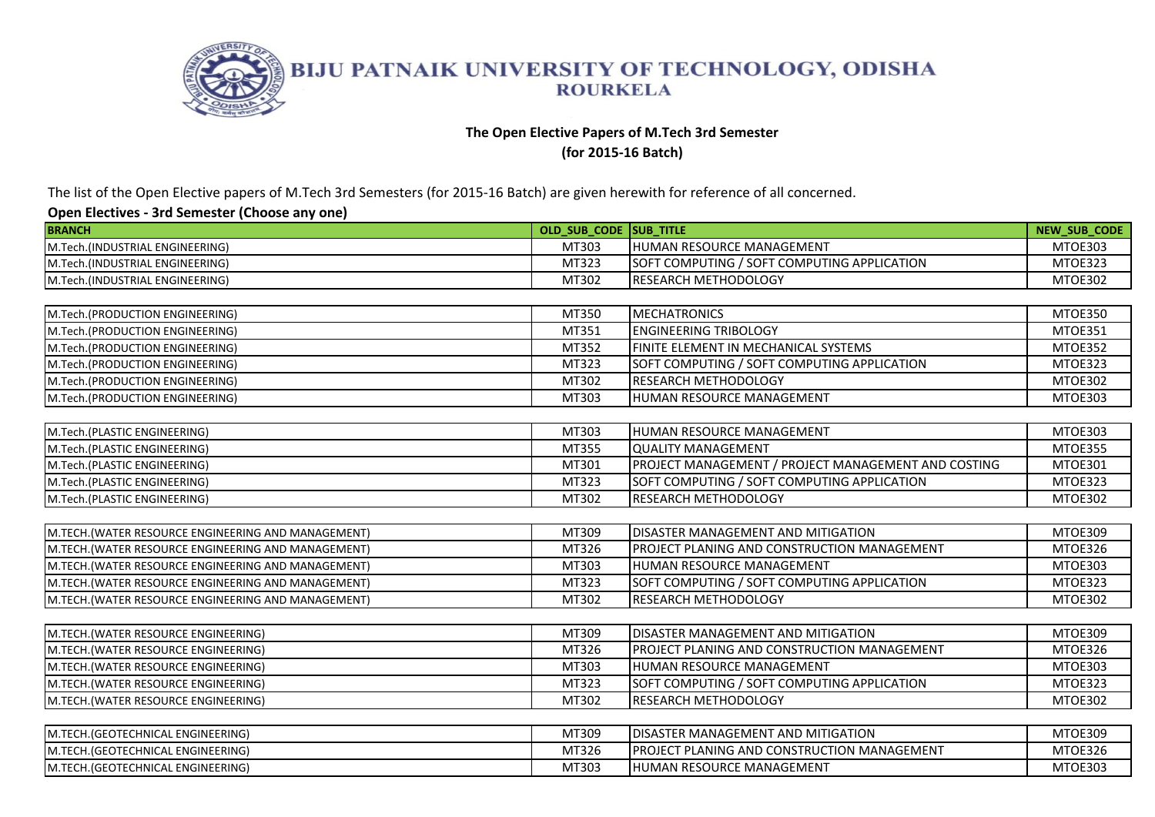

### **The Open Elective Papers of M.Tech 3rd Semester**

**(for 2015-16 Batch)** 

The list of the Open Elective papers of M.Tech 3rd Semesters (for 2015-16 Batch) are given herewith for reference of all concerned.

| <b>BRANCH</b>                                       | OLD SUB CODE SUB TITLE |                                                     | NEW_SUB_CODE   |
|-----------------------------------------------------|------------------------|-----------------------------------------------------|----------------|
| M.Tech.(INDUSTRIAL ENGINEERING)                     | MT303                  | HUMAN RESOURCE MANAGEMENT                           | MTOE303        |
| M.Tech.(INDUSTRIAL ENGINEERING)                     | MT323                  | SOFT COMPUTING / SOFT COMPUTING APPLICATION         | MTOE323        |
| M.Tech.(INDUSTRIAL ENGINEERING)                     | MT302                  | RESEARCH METHODOLOGY                                | MTOE302        |
|                                                     |                        |                                                     |                |
| M.Tech.(PRODUCTION ENGINEERING)                     | MT350                  | <b>MECHATRONICS</b>                                 | MTOE350        |
| M.Tech.(PRODUCTION ENGINEERING)                     | MT351                  | <b>ENGINEERING TRIBOLOGY</b>                        | MTOE351        |
| M.Tech.(PRODUCTION ENGINEERING)                     | MT352                  | FINITE ELEMENT IN MECHANICAL SYSTEMS                | MTOE352        |
| M.Tech.(PRODUCTION ENGINEERING)                     | MT323                  | SOFT COMPUTING / SOFT COMPUTING APPLICATION         | MTOE323        |
| M.Tech.(PRODUCTION ENGINEERING)                     | MT302                  | <b>RESEARCH METHODOLOGY</b>                         | MTOE302        |
| M.Tech.(PRODUCTION ENGINEERING)                     | MT303                  | HUMAN RESOURCE MANAGEMENT                           | MTOE303        |
|                                                     |                        |                                                     |                |
| M.Tech.(PLASTIC ENGINEERING)                        | MT303                  | HUMAN RESOURCE MANAGEMENT                           | MTOE303        |
| M.Tech.(PLASTIC ENGINEERING)                        | MT355                  | <b>QUALITY MANAGEMENT</b>                           | MTOE355        |
| M.Tech.(PLASTIC ENGINEERING)                        | MT301                  | PROJECT MANAGEMENT / PROJECT MANAGEMENT AND COSTING | MTOE301        |
| M.Tech.(PLASTIC ENGINEERING)                        | MT323                  | SOFT COMPUTING / SOFT COMPUTING APPLICATION         | MTOE323        |
| M.Tech.(PLASTIC ENGINEERING)                        | MT302                  | RESEARCH METHODOLOGY                                | <b>MTOE302</b> |
|                                                     |                        |                                                     |                |
| M.TECH.(WATER RESOURCE ENGINEERING AND MANAGEMENT)  | MT309                  | <b>DISASTER MANAGEMENT AND MITIGATION</b>           | MTOE309        |
| M.TECH. (WATER RESOURCE ENGINEERING AND MANAGEMENT) | MT326                  | PROJECT PLANING AND CONSTRUCTION MANAGEMENT         | MTOE326        |
| M.TECH.(WATER RESOURCE ENGINEERING AND MANAGEMENT)  | MT303                  | HUMAN RESOURCE MANAGEMENT                           | MTOE303        |
| M.TECH.(WATER RESOURCE ENGINEERING AND MANAGEMENT)  | MT323                  | SOFT COMPUTING / SOFT COMPUTING APPLICATION         | MTOE323        |
| M.TECH.(WATER RESOURCE ENGINEERING AND MANAGEMENT)  | MT302                  | RESEARCH METHODOLOGY                                | MTOE302        |
|                                                     |                        |                                                     |                |
| M.TECH.(WATER RESOURCE ENGINEERING)                 | MT309                  | DISASTER MANAGEMENT AND MITIGATION                  | MTOE309        |
| M.TECH.(WATER RESOURCE ENGINEERING)                 | MT326                  | PROJECT PLANING AND CONSTRUCTION MANAGEMENT         | MTOE326        |
| M.TECH.(WATER RESOURCE ENGINEERING)                 | MT303                  | HUMAN RESOURCE MANAGEMENT                           | MTOE303        |
| M.TECH.(WATER RESOURCE ENGINEERING)                 | MT323                  | SOFT COMPUTING / SOFT COMPUTING APPLICATION         | MTOE323        |
| M.TECH.(WATER RESOURCE ENGINEERING)                 | MT302                  | <b>RESEARCH METHODOLOGY</b>                         | MTOE302        |
|                                                     |                        |                                                     |                |
| M.TECH.(GEOTECHNICAL ENGINEERING)                   | MT309                  | <b>DISASTER MANAGEMENT AND MITIGATION</b>           | MTOE309        |
| M.TECH.(GEOTECHNICAL ENGINEERING)                   | MT326                  | PROJECT PLANING AND CONSTRUCTION MANAGEMENT         | MTOE326        |
| M.TECH. (GEOTECHNICAL ENGINEERING)                  | MT303                  | HUMAN RESOURCE MANAGEMENT                           | MTOE303        |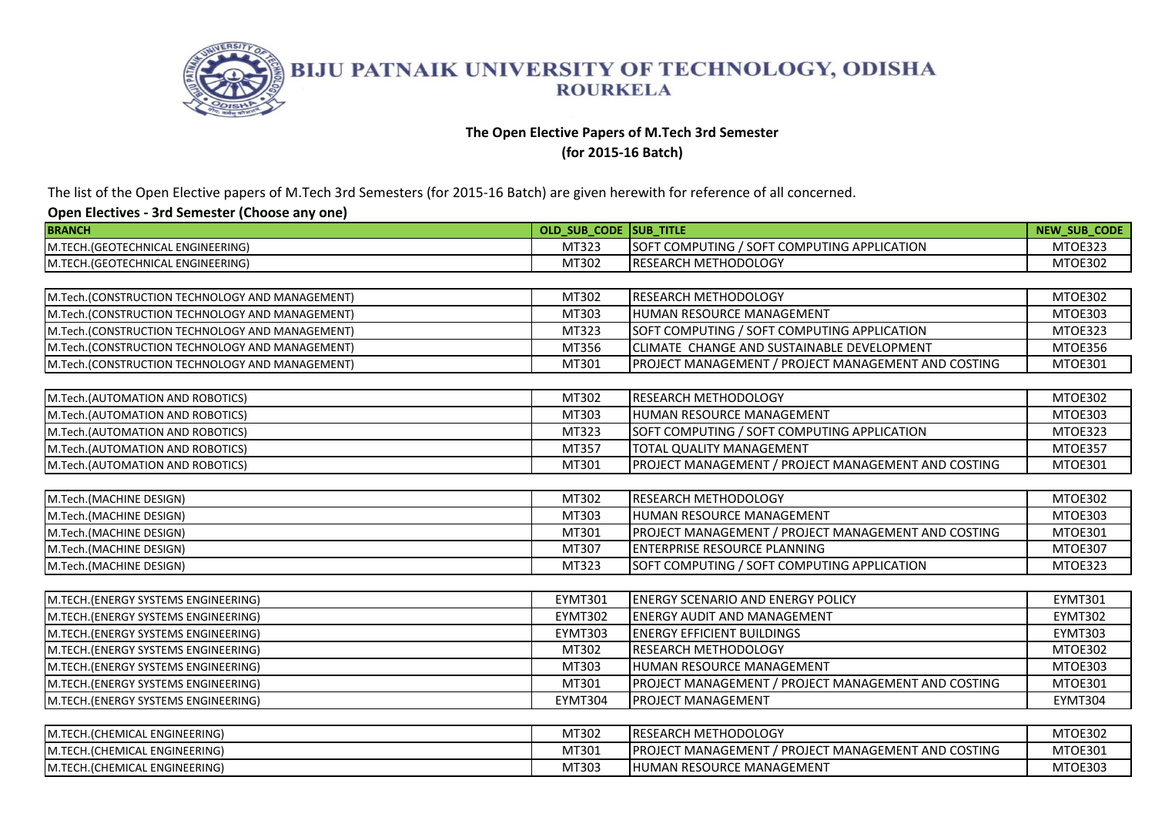

## **The Open Elective Papers of M.Tech 3rd Semester**

**(for 2015-16 Batch)** 

The list of the Open Elective papers of M.Tech 3rd Semesters (for 2015-16 Batch) are given herewith for reference of all concerned.

| <b>BRANCH</b>                                   | OLD SUB CODE SUB TITLE |                                                     | <b>NEW SUB CODE</b> |
|-------------------------------------------------|------------------------|-----------------------------------------------------|---------------------|
| M.TECH. (GEOTECHNICAL ENGINEERING)              | MT323                  | SOFT COMPUTING / SOFT COMPUTING APPLICATION         | MTOE323             |
| M.TECH.(GEOTECHNICAL ENGINEERING)               | MT302                  | <b>RESEARCH METHODOLOGY</b>                         | MTOE302             |
|                                                 |                        |                                                     |                     |
| M.Tech.(CONSTRUCTION TECHNOLOGY AND MANAGEMENT) | MT302                  | <b>RESEARCH METHODOLOGY</b>                         | MTOE302             |
| M.Tech.(CONSTRUCTION TECHNOLOGY AND MANAGEMENT) | MT303                  | <b>HUMAN RESOURCE MANAGEMENT</b>                    | MTOE303             |
| M.Tech.(CONSTRUCTION TECHNOLOGY AND MANAGEMENT) | MT323                  | SOFT COMPUTING / SOFT COMPUTING APPLICATION         | MTOE323             |
| M.Tech.(CONSTRUCTION TECHNOLOGY AND MANAGEMENT) | MT356                  | CLIMATE CHANGE AND SUSTAINABLE DEVELOPMENT          | MTOE356             |
| M.Tech.(CONSTRUCTION TECHNOLOGY AND MANAGEMENT) | MT301                  | PROJECT MANAGEMENT / PROJECT MANAGEMENT AND COSTING | MTOE301             |
|                                                 |                        |                                                     |                     |
| M.Tech.(AUTOMATION AND ROBOTICS)                | MT302                  | <b>RESEARCH METHODOLOGY</b>                         | MTOE302             |
| M.Tech.(AUTOMATION AND ROBOTICS)                | MT303                  | IHUMAN RESOURCE MANAGEMENT                          | MTOE303             |
| M.Tech.(AUTOMATION AND ROBOTICS)                | MT323                  | SOFT COMPUTING / SOFT COMPUTING APPLICATION         | MTOE323             |
| M.Tech.(AUTOMATION AND ROBOTICS)                | MT357                  | <b>TOTAL QUALITY MANAGEMENT</b>                     | MTOE357             |
| M.Tech.(AUTOMATION AND ROBOTICS)                | MT301                  | PROJECT MANAGEMENT / PROJECT MANAGEMENT AND COSTING | MTOE301             |
|                                                 |                        |                                                     |                     |
| M.Tech.(MACHINE DESIGN)                         | MT302                  | <b>IRESEARCH METHODOLOGY</b>                        | MTOE302             |
| M.Tech.(MACHINE DESIGN)                         | MT303                  | HUMAN RESOURCE MANAGEMENT                           | MTOE303             |
| M.Tech.(MACHINE DESIGN)                         | MT301                  | PROJECT MANAGEMENT / PROJECT MANAGEMENT AND COSTING | MTOE301             |
| M.Tech.(MACHINE DESIGN)                         | MT307                  | <b>ENTERPRISE RESOURCE PLANNING</b>                 | MTOE307             |
| M.Tech.(MACHINE DESIGN)                         | MT323                  | SOFT COMPUTING / SOFT COMPUTING APPLICATION         | MTOE323             |
|                                                 |                        |                                                     |                     |
| M.TECH.(ENERGY SYSTEMS ENGINEERING)             | <b>EYMT301</b>         | <b>ENERGY SCENARIO AND ENERGY POLICY</b>            | <b>EYMT301</b>      |
| M.TECH.(ENERGY SYSTEMS ENGINEERING)             | <b>EYMT302</b>         | <b>IENERGY AUDIT AND MANAGEMENT</b>                 | EYMT302             |
| M.TECH.(ENERGY SYSTEMS ENGINEERING)             | <b>EYMT303</b>         | <b>ENERGY EFFICIENT BUILDINGS</b>                   | EYMT303             |
| M.TECH.(ENERGY SYSTEMS ENGINEERING)             | MT302                  | <b>RESEARCH METHODOLOGY</b>                         | MTOE302             |
| M.TECH.(ENERGY SYSTEMS ENGINEERING)             | MT303                  | IHUMAN RESOURCE MANAGEMENT                          | MTOE303             |
| M.TECH.(ENERGY SYSTEMS ENGINEERING)             | MT301                  | PROJECT MANAGEMENT / PROJECT MANAGEMENT AND COSTING | MTOE301             |
| M.TECH.(ENERGY SYSTEMS ENGINEERING)             | <b>EYMT304</b>         | <b>PROJECT MANAGEMENT</b>                           | <b>EYMT304</b>      |
|                                                 |                        |                                                     |                     |
| M.TECH.(CHEMICAL ENGINEERING)                   | MT302                  | <b>RESEARCH METHODOLOGY</b>                         | MTOE302             |
| M.TECH.(CHEMICAL ENGINEERING)                   | MT301                  | PROJECT MANAGEMENT / PROJECT MANAGEMENT AND COSTING | MTOE301             |
| M.TECH.(CHEMICAL ENGINEERING)                   | MT303                  | <b>HUMAN RESOURCE MANAGEMENT</b>                    | MTOE303             |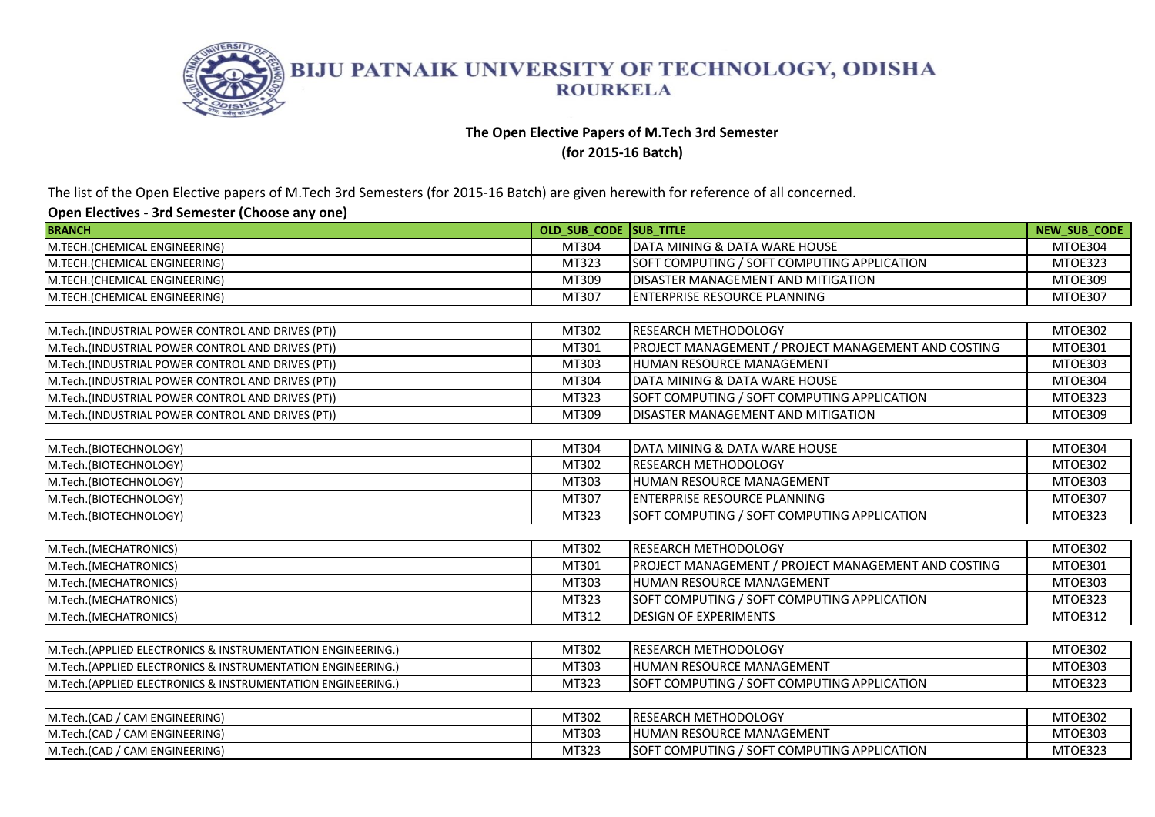

### **The Open Elective Papers of M.Tech 3rd Semester**

**(for 2015-16 Batch)** 

The list of the Open Elective papers of M.Tech 3rd Semesters (for 2015-16 Batch) are given herewith for reference of all concerned.

| <b>BRANCH</b>                                                 | OLD SUB CODE SUB TITLE |                                                     | <b>NEW SUB CODE</b> |
|---------------------------------------------------------------|------------------------|-----------------------------------------------------|---------------------|
| M.TECH.(CHEMICAL ENGINEERING)                                 | MT304                  | DATA MINING & DATA WARE HOUSE                       | MTOE304             |
| M.TECH.(CHEMICAL ENGINEERING)                                 | MT323                  | SOFT COMPUTING / SOFT COMPUTING APPLICATION         | MTOE323             |
| M.TECH.(CHEMICAL ENGINEERING)                                 | MT309                  | DISASTER MANAGEMENT AND MITIGATION                  | MTOE309             |
| M.TECH.(CHEMICAL ENGINEERING)                                 | MT307                  | <b>ENTERPRISE RESOURCE PLANNING</b>                 | MTOE307             |
|                                                               |                        |                                                     |                     |
| M.Tech.(INDUSTRIAL POWER CONTROL AND DRIVES (PT))             | MT302                  | RESEARCH METHODOLOGY                                | MTOE302             |
| M.Tech.(INDUSTRIAL POWER CONTROL AND DRIVES (PT))             | MT301                  | PROJECT MANAGEMENT / PROJECT MANAGEMENT AND COSTING | <b>MTOE301</b>      |
| M.Tech.(INDUSTRIAL POWER CONTROL AND DRIVES (PT))             | MT303                  | HUMAN RESOURCE MANAGEMENT                           | MTOE303             |
| M.Tech.(INDUSTRIAL POWER CONTROL AND DRIVES (PT))             | MT304                  | DATA MINING & DATA WARE HOUSE                       | MTOE304             |
| M.Tech.(INDUSTRIAL POWER CONTROL AND DRIVES (PT))             | MT323                  | SOFT COMPUTING / SOFT COMPUTING APPLICATION         | MTOE323             |
| M.Tech.(INDUSTRIAL POWER CONTROL AND DRIVES (PT))             | MT309                  | DISASTER MANAGEMENT AND MITIGATION                  | MTOE309             |
|                                                               |                        |                                                     |                     |
| M.Tech.(BIOTECHNOLOGY)                                        | MT304                  | DATA MINING & DATA WARE HOUSE                       | MTOE304             |
| M.Tech.(BIOTECHNOLOGY)                                        | MT302                  | RESEARCH METHODOLOGY                                | MTOE302             |
| M.Tech.(BIOTECHNOLOGY)                                        | MT303                  | HUMAN RESOURCE MANAGEMENT                           | MTOE303             |
| M.Tech.(BIOTECHNOLOGY)                                        | MT307                  | <b>ENTERPRISE RESOURCE PLANNING</b>                 | MTOE307             |
| M.Tech.(BIOTECHNOLOGY)                                        | MT323                  | SOFT COMPUTING / SOFT COMPUTING APPLICATION         | MTOE323             |
|                                                               |                        |                                                     |                     |
| M.Tech.(MECHATRONICS)                                         | MT302                  | RESEARCH METHODOLOGY                                | MTOE302             |
| M.Tech.(MECHATRONICS)                                         | MT301                  | PROJECT MANAGEMENT / PROJECT MANAGEMENT AND COSTING | MTOE301             |
| M.Tech.(MECHATRONICS)                                         | MT303                  | HUMAN RESOURCE MANAGEMENT                           | MTOE303             |
| M.Tech.(MECHATRONICS)                                         | MT323                  | SOFT COMPUTING / SOFT COMPUTING APPLICATION         | MTOE323             |
| M.Tech.(MECHATRONICS)                                         | MT312                  | <b>DESIGN OF EXPERIMENTS</b>                        | MTOE312             |
|                                                               |                        |                                                     |                     |
| M.Tech.(APPLIED ELECTRONICS & INSTRUMENTATION ENGINEERING.)   | MT302                  | RESEARCH METHODOLOGY                                | <b>MTOE302</b>      |
| M. Tech. (APPLIED ELECTRONICS & INSTRUMENTATION ENGINEERING.) | MT303                  | HUMAN RESOURCE MANAGEMENT                           | MTOE303             |
| M.Tech.(APPLIED ELECTRONICS & INSTRUMENTATION ENGINEERING.)   | MT323                  | SOFT COMPUTING / SOFT COMPUTING APPLICATION         | MTOE323             |
|                                                               |                        |                                                     |                     |
| M.Tech.(CAD / CAM ENGINEERING)                                | MT302                  | RESEARCH METHODOLOGY                                | MTOE302             |
| M.Tech.(CAD / CAM ENGINEERING)                                | MT303                  | HUMAN RESOURCE MANAGEMENT                           | MTOE303             |
| M.Tech.(CAD / CAM ENGINEERING)                                | MT323                  | SOFT COMPUTING / SOFT COMPUTING APPLICATION         | MTOE323             |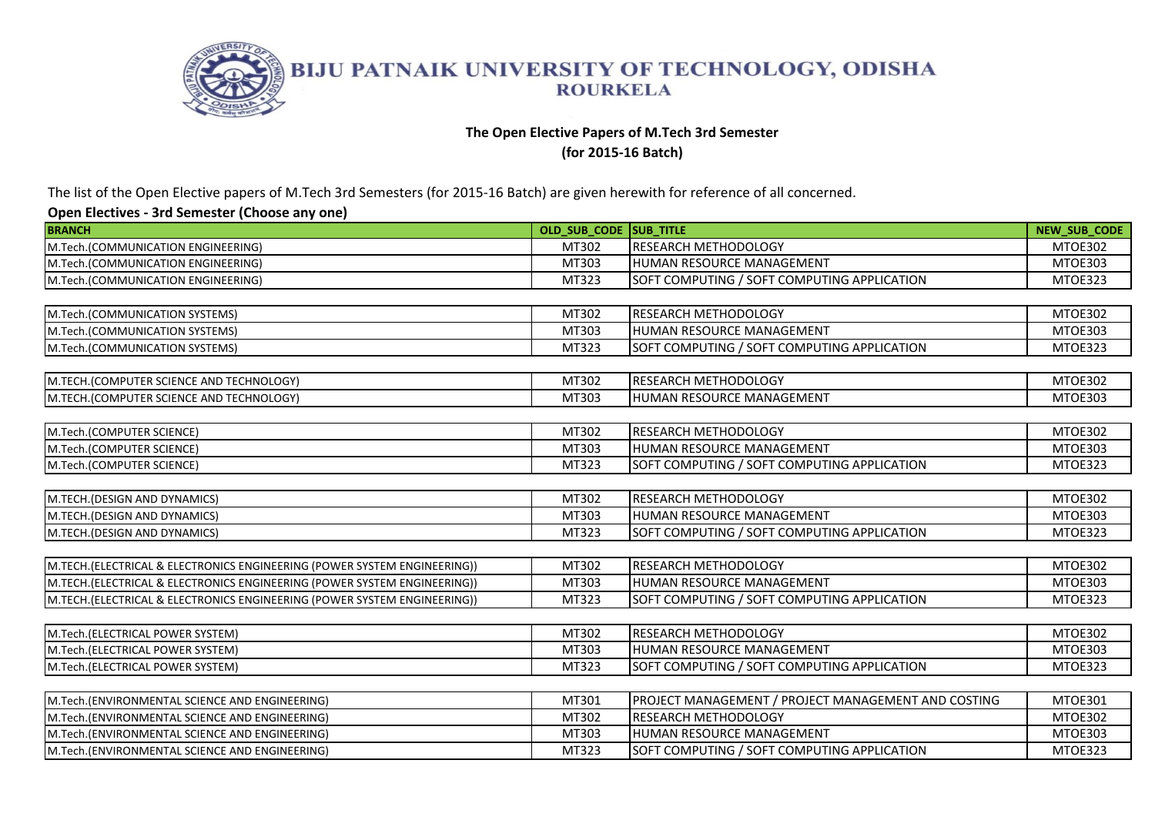

# **The Open Elective Papers of M.Tech 3rd Semester**

**(for 2015-16 Batch)** 

The list of the Open Elective papers of M.Tech 3rd Semesters (for 2015-16 Batch) are given herewith for reference of all concerned.

| <b>BRANCH</b>                                                            | OLD SUB CODE SUB TITLE |                                                     | NEW_SUB_CODE   |
|--------------------------------------------------------------------------|------------------------|-----------------------------------------------------|----------------|
| M.Tech.(COMMUNICATION ENGINEERING)                                       | MT302                  | <b>RESEARCH METHODOLOGY</b>                         | MTOE302        |
| M.Tech.(COMMUNICATION ENGINEERING)                                       | MT303                  | <b>HUMAN RESOURCE MANAGEMENT</b>                    | MTOE303        |
| M.Tech.(COMMUNICATION ENGINEERING)                                       | MT323                  | SOFT COMPUTING / SOFT COMPUTING APPLICATION         | MTOE323        |
|                                                                          |                        |                                                     |                |
| M.Tech.(COMMUNICATION SYSTEMS)                                           | MT302                  | <b>RESEARCH METHODOLOGY</b>                         | <b>MTOE302</b> |
| M.Tech.(COMMUNICATION SYSTEMS)                                           | MT303                  | HUMAN RESOURCE MANAGEMENT                           | MTOE303        |
| M.Tech.(COMMUNICATION SYSTEMS)                                           | MT323                  | SOFT COMPUTING / SOFT COMPUTING APPLICATION         | MTOE323        |
|                                                                          |                        |                                                     |                |
| M.TECH.(COMPUTER SCIENCE AND TECHNOLOGY)                                 | MT302                  | <b>RESEARCH METHODOLOGY</b>                         | <b>MTOE302</b> |
| M.TECH.(COMPUTER SCIENCE AND TECHNOLOGY)                                 | MT303                  | HUMAN RESOURCE MANAGEMENT                           | MTOE303        |
|                                                                          |                        |                                                     |                |
| M.Tech.(COMPUTER SCIENCE)                                                | MT302                  | <b>RESEARCH METHODOLOGY</b>                         | MTOE302        |
| M.Tech.(COMPUTER SCIENCE)                                                | MT303                  | HUMAN RESOURCE MANAGEMENT                           | MTOE303        |
| M.Tech.(COMPUTER SCIENCE)                                                | MT323                  | SOFT COMPUTING / SOFT COMPUTING APPLICATION         | MTOE323        |
|                                                                          |                        |                                                     |                |
| M.TECH.(DESIGN AND DYNAMICS)                                             | MT302                  | <b>RESEARCH METHODOLOGY</b>                         | MTOE302        |
| M.TECH.(DESIGN AND DYNAMICS)                                             | MT303                  | HUMAN RESOURCE MANAGEMENT                           | MTOE303        |
| M.TECH.(DESIGN AND DYNAMICS)                                             | MT323                  | SOFT COMPUTING / SOFT COMPUTING APPLICATION         | MTOE323        |
|                                                                          |                        |                                                     |                |
| M.TECH.(ELECTRICAL & ELECTRONICS ENGINEERING (POWER SYSTEM ENGINEERING)) | MT302                  | <b>RESEARCH METHODOLOGY</b>                         | <b>MTOE302</b> |
| M.TECH.(ELECTRICAL & ELECTRONICS ENGINEERING (POWER SYSTEM ENGINEERING)) | MT303                  | HUMAN RESOURCE MANAGEMENT                           | MTOE303        |
| M.TECH.(ELECTRICAL & ELECTRONICS ENGINEERING (POWER SYSTEM ENGINEERING)) | MT323                  | SOFT COMPUTING / SOFT COMPUTING APPLICATION         | MTOE323        |
|                                                                          |                        |                                                     |                |
| M.Tech.(ELECTRICAL POWER SYSTEM)                                         | MT302                  | <b>RESEARCH METHODOLOGY</b>                         | MTOE302        |
| M.Tech.(ELECTRICAL POWER SYSTEM)                                         | MT303                  | HUMAN RESOURCE MANAGEMENT                           | MTOE303        |
| M.Tech.(ELECTRICAL POWER SYSTEM)                                         | MT323                  | SOFT COMPUTING / SOFT COMPUTING APPLICATION         | MTOE323        |
|                                                                          |                        |                                                     |                |
| M.Tech.(ENVIRONMENTAL SCIENCE AND ENGINEERING)                           | MT301                  | PROJECT MANAGEMENT / PROJECT MANAGEMENT AND COSTING | MTOE301        |
| M.Tech.(ENVIRONMENTAL SCIENCE AND ENGINEERING)                           | MT302                  | <b>RESEARCH METHODOLOGY</b>                         | MTOE302        |
| M.Tech.(ENVIRONMENTAL SCIENCE AND ENGINEERING)                           | MT303                  | <b>HUMAN RESOURCE MANAGEMENT</b>                    | MTOE303        |
| M.Tech.(ENVIRONMENTAL SCIENCE AND ENGINEERING)                           | MT323                  | SOFT COMPUTING / SOFT COMPUTING APPLICATION         | MTOE323        |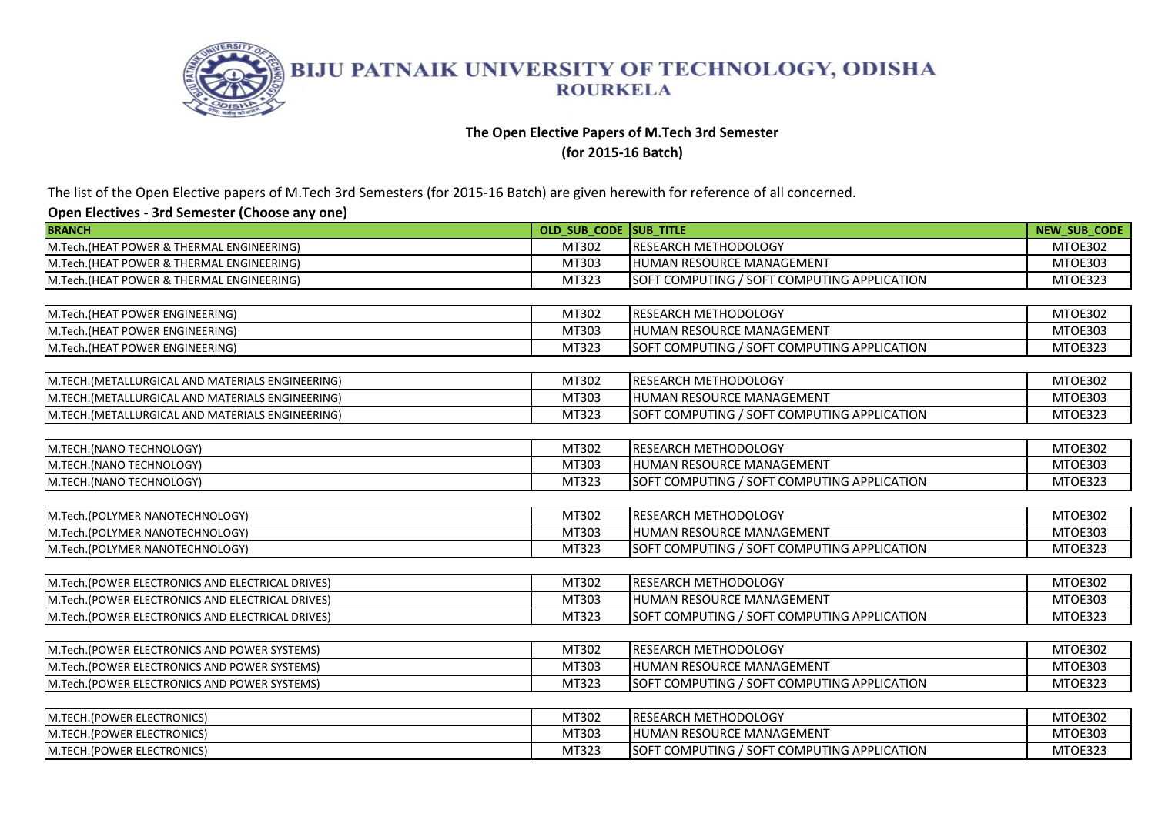

# **The Open Elective Papers of M.Tech 3rd Semester**

**(for 2015-16 Batch)** 

The list of the Open Elective papers of M.Tech 3rd Semesters (for 2015-16 Batch) are given herewith for reference of all concerned.

| <b>BRANCH</b>                                     | OLD SUB CODE ISUB TITLE |                                             | <b>NEW SUB CODE</b> |
|---------------------------------------------------|-------------------------|---------------------------------------------|---------------------|
| M.Tech.(HEAT POWER & THERMAL ENGINEERING)         | MT302                   | RESEARCH METHODOLOGY                        | MTOE302             |
| M.Tech.(HEAT POWER & THERMAL ENGINEERING)         | MT303                   | HUMAN RESOURCE MANAGEMENT                   | MTOE303             |
| M.Tech.(HEAT POWER & THERMAL ENGINEERING)         | MT323                   | SOFT COMPUTING / SOFT COMPUTING APPLICATION | MTOE323             |
|                                                   |                         |                                             |                     |
| M.Tech.(HEAT POWER ENGINEERING)                   | MT302                   | RESEARCH METHODOLOGY                        | MTOE302             |
| M.Tech.(HEAT POWER ENGINEERING)                   | MT303                   | HUMAN RESOURCE MANAGEMENT                   | MTOE303             |
| M.Tech.(HEAT POWER ENGINEERING)                   | MT323                   | SOFT COMPUTING / SOFT COMPUTING APPLICATION | MTOE323             |
|                                                   |                         |                                             |                     |
| M.TECH. (METALLURGICAL AND MATERIALS ENGINEERING) | MT302                   | RESEARCH METHODOLOGY                        | MTOE302             |
| M.TECH.(METALLURGICAL AND MATERIALS ENGINEERING)  | MT303                   | HUMAN RESOURCE MANAGEMENT                   | MTOE303             |
| M.TECH. (METALLURGICAL AND MATERIALS ENGINEERING) | MT323                   | SOFT COMPUTING / SOFT COMPUTING APPLICATION | MTOE323             |
|                                                   |                         |                                             |                     |
| M.TECH.(NANO TECHNOLOGY)                          | MT302                   | RESEARCH METHODOLOGY                        | MTOE302             |
| M.TECH.(NANO TECHNOLOGY)                          | MT303                   | HUMAN RESOURCE MANAGEMENT                   | MTOE303             |
| M.TECH.(NANO TECHNOLOGY)                          | MT323                   | SOFT COMPUTING / SOFT COMPUTING APPLICATION | MTOE323             |
|                                                   |                         |                                             |                     |
| M.Tech.(POLYMER NANOTECHNOLOGY)                   | MT302                   | <b>RESEARCH METHODOLOGY</b>                 | MTOE302             |
| M.Tech.(POLYMER NANOTECHNOLOGY)                   | MT303                   | HUMAN RESOURCE MANAGEMENT                   | MTOE303             |
| M.Tech.(POLYMER NANOTECHNOLOGY)                   | MT323                   | SOFT COMPUTING / SOFT COMPUTING APPLICATION | MTOE323             |
|                                                   |                         |                                             |                     |
| M.Tech.(POWER ELECTRONICS AND ELECTRICAL DRIVES)  | MT302                   | RESEARCH METHODOLOGY                        | MTOE302             |
| M.Tech.(POWER ELECTRONICS AND ELECTRICAL DRIVES)  | MT303                   | HUMAN RESOURCE MANAGEMENT                   | MTOE303             |
| M.Tech.(POWER ELECTRONICS AND ELECTRICAL DRIVES)  | MT323                   | SOFT COMPUTING / SOFT COMPUTING APPLICATION | MTOE323             |
|                                                   |                         |                                             |                     |
| M.Tech.(POWER ELECTRONICS AND POWER SYSTEMS)      | MT302                   | RESEARCH METHODOLOGY                        | MTOE302             |
| M.Tech.(POWER ELECTRONICS AND POWER SYSTEMS)      | MT303                   | HUMAN RESOURCE MANAGEMENT                   | MTOE303             |
| M.Tech.(POWER ELECTRONICS AND POWER SYSTEMS)      | MT323                   | SOFT COMPUTING / SOFT COMPUTING APPLICATION | MTOE323             |
|                                                   |                         |                                             |                     |
| M.TECH.(POWER ELECTRONICS)                        | MT302                   | RESEARCH METHODOLOGY                        | MTOE302             |
| M.TECH.(POWER ELECTRONICS)                        | MT303                   | HUMAN RESOURCE MANAGEMENT                   | MTOE303             |
| M.TECH.(POWER ELECTRONICS)                        | MT323                   | SOFT COMPUTING / SOFT COMPUTING APPLICATION | MTOE323             |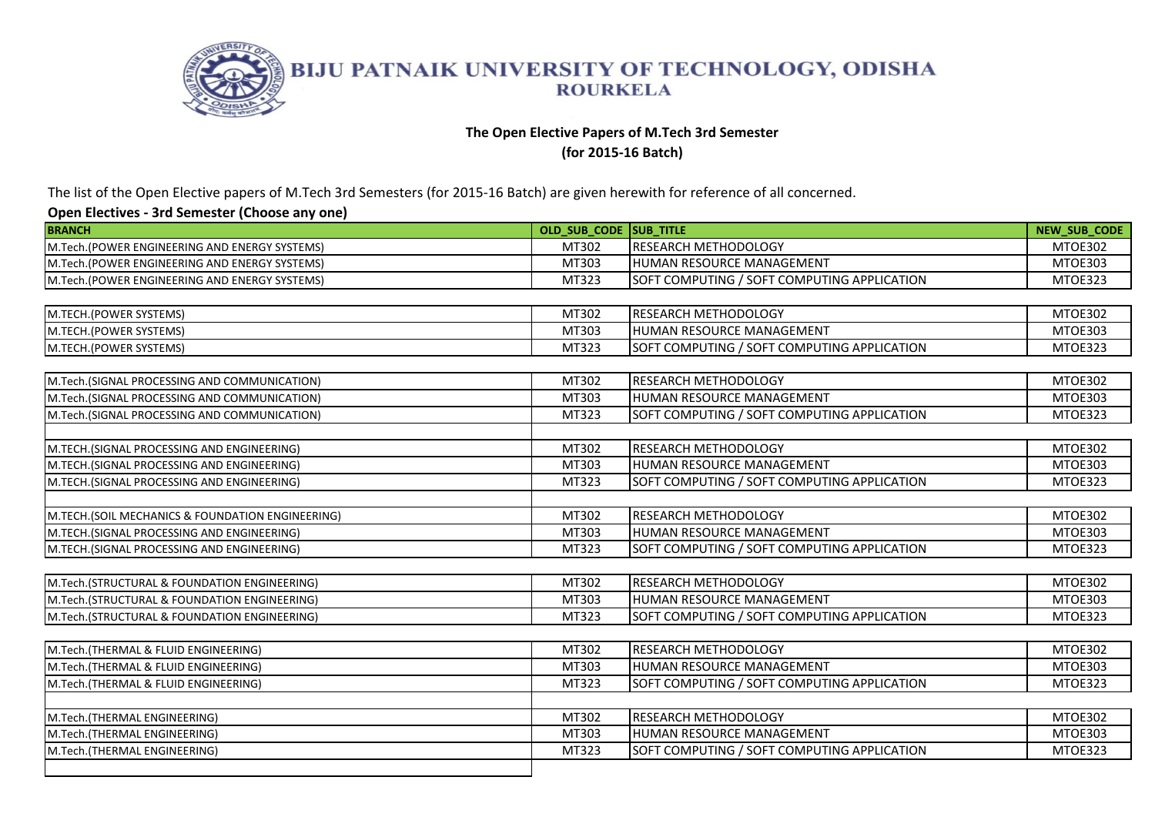

# **The Open Elective Papers of M.Tech 3rd Semester**

**(for 2015-16 Batch)** 

The list of the Open Elective papers of M.Tech 3rd Semesters (for 2015-16 Batch) are given herewith for reference of all concerned.

| <b>BRANCH</b>                                     | OLD SUB CODE SUB TITLE |                                             | NEW_SUB_CODE   |
|---------------------------------------------------|------------------------|---------------------------------------------|----------------|
| M.Tech.(POWER ENGINEERING AND ENERGY SYSTEMS)     | MT302                  | <b>RESEARCH METHODOLOGY</b>                 | MTOE302        |
| M.Tech.(POWER ENGINEERING AND ENERGY SYSTEMS)     | MT303                  | HUMAN RESOURCE MANAGEMENT                   | MTOE303        |
| M.Tech.(POWER ENGINEERING AND ENERGY SYSTEMS)     | MT323                  | SOFT COMPUTING / SOFT COMPUTING APPLICATION | MTOE323        |
|                                                   |                        |                                             |                |
| M.TECH.(POWER SYSTEMS)                            | MT302                  | RESEARCH METHODOLOGY                        | MTOE302        |
| M.TECH.(POWER SYSTEMS)                            | MT303                  | HUMAN RESOURCE MANAGEMENT                   | MTOE303        |
| M.TECH.(POWER SYSTEMS)                            | MT323                  | SOFT COMPUTING / SOFT COMPUTING APPLICATION | MTOE323        |
|                                                   |                        |                                             |                |
| M.Tech.(SIGNAL PROCESSING AND COMMUNICATION)      | MT302                  | RESEARCH METHODOLOGY                        | <b>MTOE302</b> |
| M.Tech.(SIGNAL PROCESSING AND COMMUNICATION)      | MT303                  | HUMAN RESOURCE MANAGEMENT                   | MTOE303        |
| M.Tech.(SIGNAL PROCESSING AND COMMUNICATION)      | MT323                  | SOFT COMPUTING / SOFT COMPUTING APPLICATION | MTOE323        |
|                                                   |                        |                                             |                |
| M.TECH.(SIGNAL PROCESSING AND ENGINEERING)        | MT302                  | RESEARCH METHODOLOGY                        | MTOE302        |
| M.TECH.(SIGNAL PROCESSING AND ENGINEERING)        | MT303                  | HUMAN RESOURCE MANAGEMENT                   | MTOE303        |
| M.TECH.(SIGNAL PROCESSING AND ENGINEERING)        | MT323                  | SOFT COMPUTING / SOFT COMPUTING APPLICATION | MTOE323        |
|                                                   |                        |                                             |                |
| M.TECH. (SOIL MECHANICS & FOUNDATION ENGINEERING) | MT302                  | RESEARCH METHODOLOGY                        | MTOE302        |
| M.TECH.(SIGNAL PROCESSING AND ENGINEERING)        | MT303                  | HUMAN RESOURCE MANAGEMENT                   | MTOE303        |
| M.TECH.(SIGNAL PROCESSING AND ENGINEERING)        | MT323                  | SOFT COMPUTING / SOFT COMPUTING APPLICATION | MTOE323        |
|                                                   |                        |                                             |                |
| M.Tech.(STRUCTURAL & FOUNDATION ENGINEERING)      | MT302                  | RESEARCH METHODOLOGY                        | MTOE302        |
| M.Tech.(STRUCTURAL & FOUNDATION ENGINEERING)      | MT303                  | HUMAN RESOURCE MANAGEMENT                   | MTOE303        |
| M.Tech.(STRUCTURAL & FOUNDATION ENGINEERING)      | MT323                  | SOFT COMPUTING / SOFT COMPUTING APPLICATION | MTOE323        |
|                                                   |                        |                                             |                |
| M.Tech.(THERMAL & FLUID ENGINEERING)              | MT302                  | RESEARCH METHODOLOGY                        | MTOE302        |
| M.Tech.(THERMAL & FLUID ENGINEERING)              | MT303                  | HUMAN RESOURCE MANAGEMENT                   | <b>MTOE303</b> |
| M.Tech.(THERMAL & FLUID ENGINEERING)              | MT323                  | SOFT COMPUTING / SOFT COMPUTING APPLICATION | MTOE323        |
|                                                   |                        |                                             |                |
| M.Tech.(THERMAL ENGINEERING)                      | MT302                  | RESEARCH METHODOLOGY                        | MTOE302        |
| M.Tech.(THERMAL ENGINEERING)                      | MT303                  | HUMAN RESOURCE MANAGEMENT                   | MTOE303        |
| M.Tech.(THERMAL ENGINEERING)                      | MT323                  | SOFT COMPUTING / SOFT COMPUTING APPLICATION | MTOE323        |
|                                                   |                        |                                             |                |